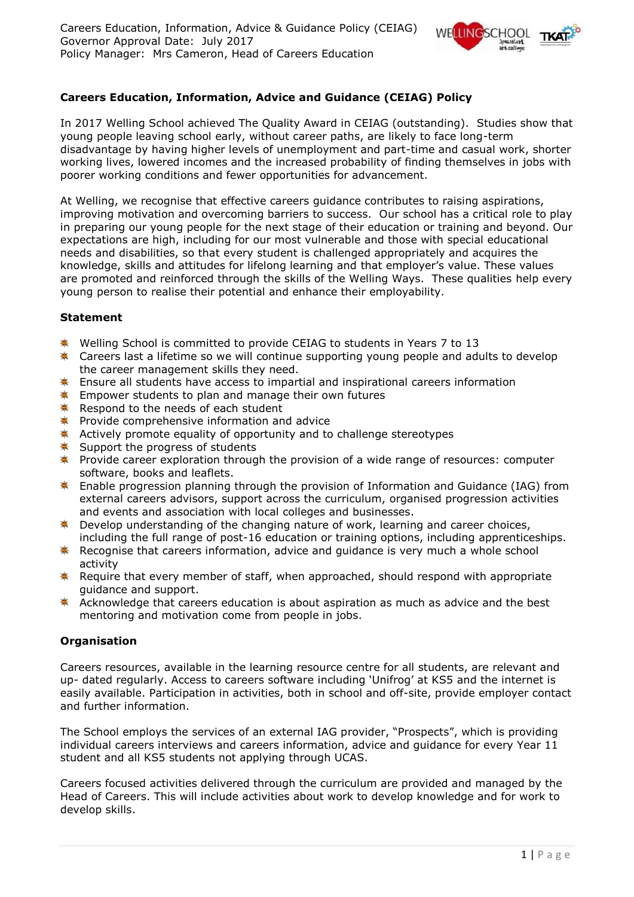

# **Careers Education, Information, Advice and Guidance (CEIAG) Policy**

In 2017 Welling School achieved The Quality Award in CEIAG (outstanding). Studies show that young people leaving school early, without career paths, are likely to face long-term disadvantage by having higher levels of unemployment and part-time and casual work, shorter working lives, lowered incomes and the increased probability of finding themselves in jobs with poorer working conditions and fewer opportunities for advancement.

At Welling, we recognise that effective careers guidance contributes to raising aspirations, improving motivation and overcoming barriers to success. Our school has a critical role to play in preparing our young people for the next stage of their education or training and beyond. Our expectations are high, including for our most vulnerable and those with special educational needs and disabilities, so that every student is challenged appropriately and acquires the knowledge, skills and attitudes for lifelong learning and that employer's value. These values are promoted and reinforced through the skills of the Welling Ways. These qualities help every young person to realise their potential and enhance their employability.

# **Statement**

- $*$  Welling School is committed to provide CEIAG to students in Years 7 to 13
- $\ddot{\ast}$  Careers last a lifetime so we will continue supporting young people and adults to develop the career management skills they need.
- **E** Ensure all students have access to impartial and inspirational careers information
- $*$  Empower students to plan and manage their own futures
- $*$  Respond to the needs of each student
- $\bullet$  Provide comprehensive information and advice
- \* Actively promote equality of opportunity and to challenge stereotypes
- $*$  Support the progress of students
- **\*** Provide career exploration through the provision of a wide range of resources: computer software, books and leaflets.
- \* Enable progression planning through the provision of Information and Guidance (IAG) from external careers advisors, support across the curriculum, organised progression activities and events and association with local colleges and businesses.
- **EXECT** Develop understanding of the changing nature of work, learning and career choices, including the full range of post-16 education or training options, including apprenticeships.
- \* Recognise that careers information, advice and guidance is very much a whole school activity
- \* Require that every member of staff, when approached, should respond with appropriate guidance and support.
- Acknowledge that careers education is about aspiration as much as advice and the best mentoring and motivation come from people in jobs.

# **Organisation**

Careers resources, available in the learning resource centre for all students, are relevant and up- dated regularly. Access to careers software including 'Unifrog' at KS5 and the internet is easily available. Participation in activities, both in school and off-site, provide employer contact and further information.

The School employs the services of an external IAG provider, "Prospects", which is providing individual careers interviews and careers information, advice and guidance for every Year 11 student and all KS5 students not applying through UCAS.

Careers focused activities delivered through the curriculum are provided and managed by the Head of Careers. This will include activities about work to develop knowledge and for work to develop skills.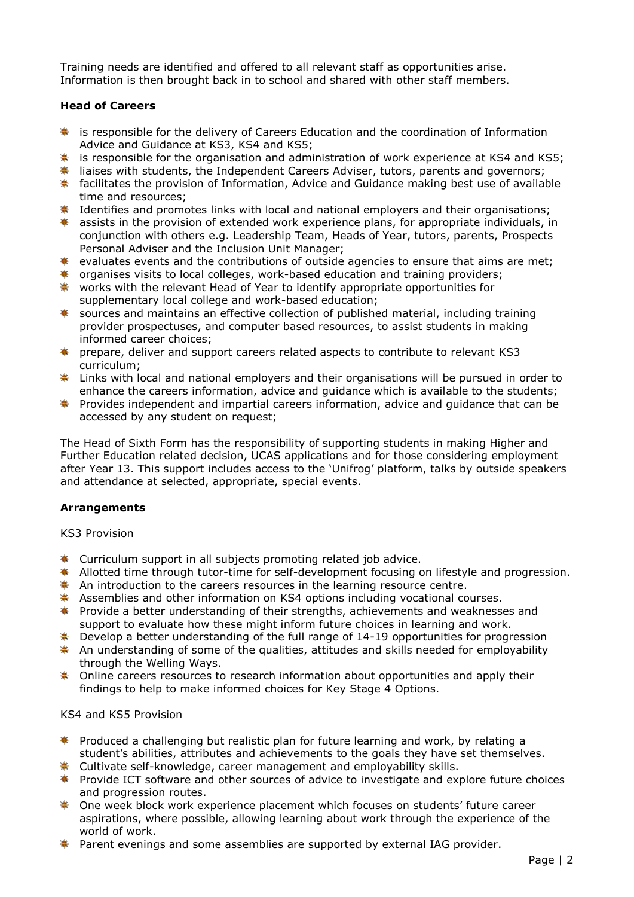Training needs are identified and offered to all relevant staff as opportunities arise. Information is then brought back in to school and shared with other staff members.

# **Head of Careers**

- $*$  is responsible for the delivery of Careers Education and the coordination of Information Advice and Guidance at KS3, KS4 and KS5;
- $*$  is responsible for the organisation and administration of work experience at KS4 and KS5;
- **\*** liaises with students, the Independent Careers Adviser, tutors, parents and governors;
- \* facilitates the provision of Information, Advice and Guidance making best use of available time and resources;
- **\*** Identifies and promotes links with local and national employers and their organisations;
- $*$  assists in the provision of extended work experience plans, for appropriate individuals, in conjunction with others e.g. Leadership Team, Heads of Year, tutors, parents, Prospects Personal Adviser and the Inclusion Unit Manager;
- $*$  evaluates events and the contributions of outside agencies to ensure that aims are met;
- $*$  organises visits to local colleges, work-based education and training providers;
- \* works with the relevant Head of Year to identify appropriate opportunities for supplementary local college and work-based education;
- \* sources and maintains an effective collection of published material, including training provider prospectuses, and computer based resources, to assist students in making informed career choices;
- prepare, deliver and support careers related aspects to contribute to relevant KS3 curriculum;
- **\*** Links with local and national employers and their organisations will be pursued in order to enhance the careers information, advice and guidance which is available to the students;
- **EX** Provides independent and impartial careers information, advice and quidance that can be accessed by any student on request;

The Head of Sixth Form has the responsibility of supporting students in making Higher and Further Education related decision, UCAS applications and for those considering employment after Year 13. This support includes access to the 'Unifrog' platform, talks by outside speakers and attendance at selected, appropriate, special events.

### **Arrangements**

KS3 Provision

- **\*** Curriculum support in all subjects promoting related job advice.
- **Allotted time through tutor-time for self-development focusing on lifestyle and progression.**
- \* An introduction to the careers resources in the learning resource centre.
- Assemblies and other information on KS4 options including vocational courses.
- **\*** Provide a better understanding of their strengths, achievements and weaknesses and support to evaluate how these might inform future choices in learning and work.
- $*$  Develop a better understanding of the full range of 14-19 opportunities for progression
- $*$  An understanding of some of the qualities, attitudes and skills needed for employability through the Welling Ways.
- \* Online careers resources to research information about opportunities and apply their findings to help to make informed choices for Key Stage 4 Options.

### KS4 and KS5 Provision

- Produced a challenging but realistic plan for future learning and work, by relating a 秦 student's abilities, attributes and achievements to the goals they have set themselves.
- Cultivate self-knowledge, career management and employability skills.
- **\*** Provide ICT software and other sources of advice to investigate and explore future choices and progression routes.
- \* One week block work experience placement which focuses on students' future career aspirations, where possible, allowing learning about work through the experience of the world of work.
- \* Parent evenings and some assemblies are supported by external IAG provider.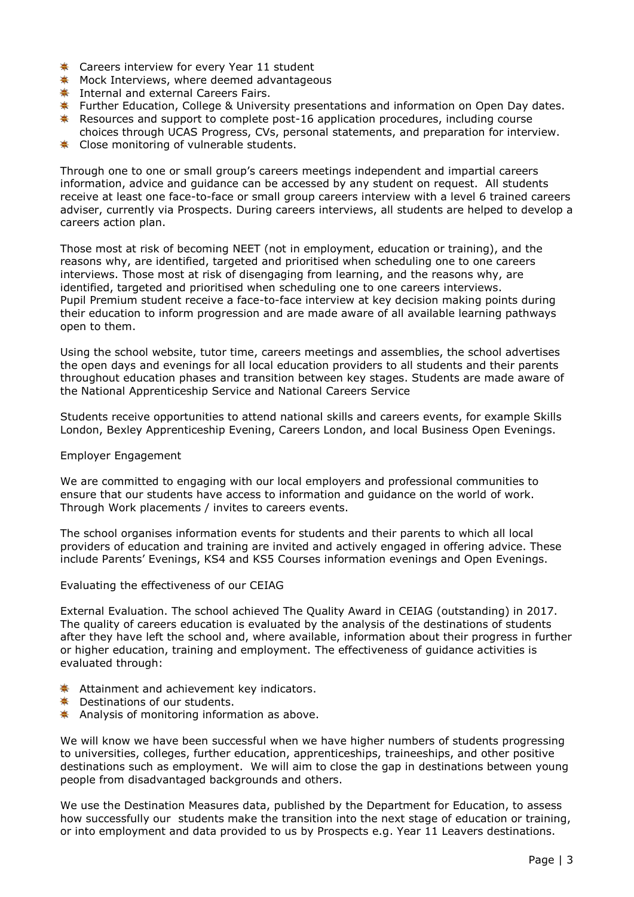- **★** Careers interview for every Year 11 student
- **\*** Mock Interviews, where deemed advantageous
- **K** Internal and external Careers Fairs.
- **K** Further Education, College & University presentations and information on Open Day dates.
- **EXECUTE:** Resources and support to complete post-16 application procedures, including course
- choices through UCAS Progress, CVs, personal statements, and preparation for interview.
- **★** Close monitoring of vulnerable students.

Through one to one or small group's careers meetings independent and impartial careers information, advice and guidance can be accessed by any student on request. All students receive at least one face-to-face or small group careers interview with a level 6 trained careers adviser, currently via Prospects. During careers interviews, all students are helped to develop a careers action plan.

Those most at risk of becoming NEET (not in employment, education or training), and the reasons why, are identified, targeted and prioritised when scheduling one to one careers interviews. Those most at risk of disengaging from learning, and the reasons why, are identified, targeted and prioritised when scheduling one to one careers interviews. Pupil Premium student receive a face-to-face interview at key decision making points during their education to inform progression and are made aware of all available learning pathways open to them.

Using the school website, tutor time, careers meetings and assemblies, the school advertises the open days and evenings for all local education providers to all students and their parents throughout education phases and transition between key stages. Students are made aware of the National Apprenticeship Service and National Careers Service

Students receive opportunities to attend national skills and careers events, for example Skills London, Bexley Apprenticeship Evening, Careers London, and local Business Open Evenings.

### Employer Engagement

We are committed to engaging with our local employers and professional communities to ensure that our students have access to information and guidance on the world of work. Through Work placements / invites to careers events.

The school organises information events for students and their parents to which all local providers of education and training are invited and actively engaged in offering advice. These include Parents' Evenings, KS4 and KS5 Courses information evenings and Open Evenings.

### Evaluating the effectiveness of our CEIAG

External Evaluation. The school achieved The Quality Award in CEIAG (outstanding) in 2017. The quality of careers education is evaluated by the analysis of the destinations of students after they have left the school and, where available, information about their progress in further or higher education, training and employment. The effectiveness of guidance activities is evaluated through:

- **\*** Attainment and achievement key indicators.
- **★** Destinations of our students.
- Analysis of monitoring information as above.

We will know we have been successful when we have higher numbers of students progressing to universities, colleges, further education, apprenticeships, traineeships, and other positive destinations such as employment. We will aim to close the gap in destinations between young people from disadvantaged backgrounds and others.

We use the Destination Measures data, published by the Department for Education, to assess how successfully our students make the transition into the next stage of education or training, or into employment and data provided to us by Prospects e.g. Year 11 Leavers destinations.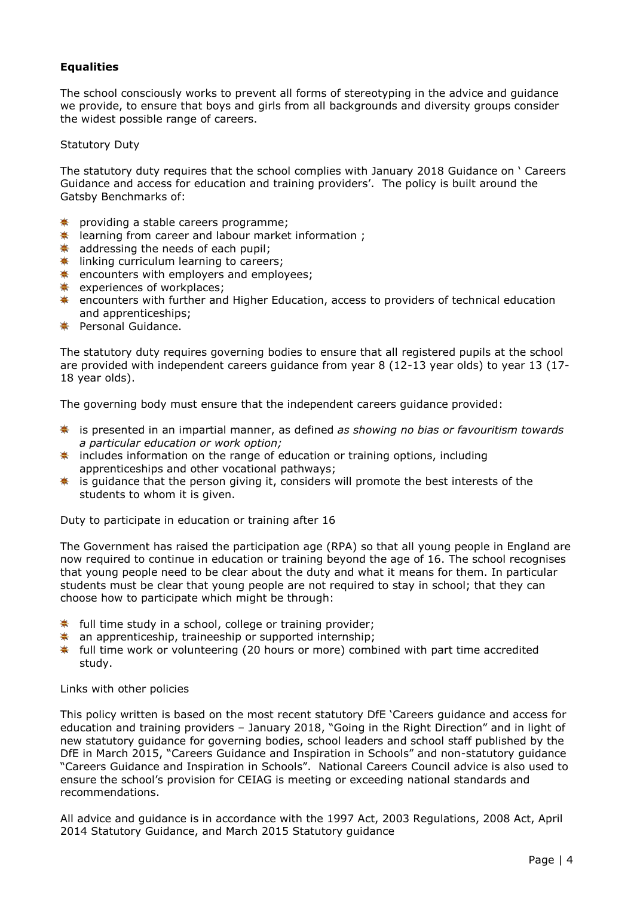# **Equalities**

The school consciously works to prevent all forms of stereotyping in the advice and guidance we provide, to ensure that boys and girls from all backgrounds and diversity groups consider the widest possible range of careers.

## Statutory Duty

The statutory duty requires that the school complies with January 2018 Guidance on ' Careers Guidance and access for education and training providers'. The policy is built around the Gatsby Benchmarks of:

- **\*** providing a stable careers programme;
- $*$  learning from career and labour market information ;
- $*$  addressing the needs of each pupil;
- **k** linking curriculum learning to careers;
- $\textcolor{blue}{\textbf{*}}$  encounters with employers and employees;
- **\*** experiences of workplaces;
- **\*** encounters with further and Higher Education, access to providers of technical education and apprenticeships;
- **<del>☀</del>** Personal Guidance.

The statutory duty requires governing bodies to ensure that all registered pupils at the school are provided with independent careers guidance from year 8 (12-13 year olds) to year 13 (17- 18 year olds).

The governing body must ensure that the independent careers guidance provided:

- ≛ is presented in an impartial manner, as defined *as showing no bias or favouritism towards a particular education or work option;*
- $*$  includes information on the range of education or training options, including apprenticeships and other vocational pathways;
- $*$  is guidance that the person giving it, considers will promote the best interests of the students to whom it is given.

Duty to participate in education or training after 16

The Government has raised the participation age (RPA) so that all young people in England are now required to continue in education or training beyond the age of 16. The school recognises that young people need to be clear about the duty and what it means for them. In particular students must be clear that young people are not required to stay in school; that they can choose how to participate which might be through:

- $*$  full time study in a school, college or training provider;
- $\ast$  an apprenticeship, traineeship or supported internship;
- $*$  full time work or volunteering (20 hours or more) combined with part time accredited study.

Links with other policies

This policy written is based on the most recent statutory DfE 'Careers guidance and access for education and training providers – January 2018, "Going in the Right Direction" and in light of new statutory guidance for governing bodies, school leaders and school staff published by the DfE in March 2015, "Careers Guidance and Inspiration in Schools" and non-statutory guidance "Careers Guidance and Inspiration in Schools". National Careers Council advice is also used to ensure the school's provision for CEIAG is meeting or exceeding national standards and recommendations.

All advice and guidance is in accordance with the 1997 Act, 2003 Regulations, 2008 Act, April 2014 Statutory Guidance, and March 2015 Statutory guidance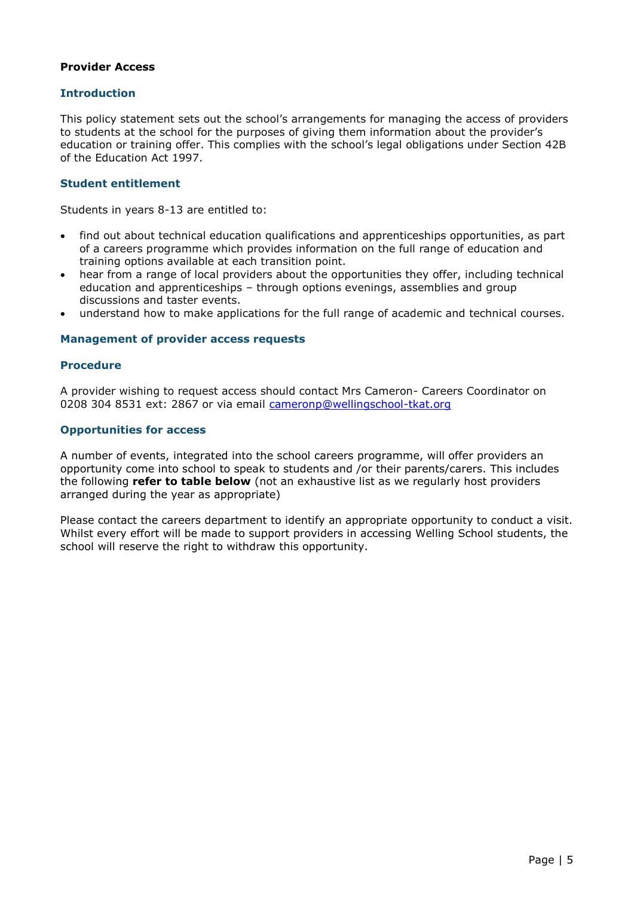# **Provider Access**

# **Introduction**

This policy statement sets out the school's arrangements for managing the access of providers to students at the school for the purposes of giving them information about the provider's education or training offer. This complies with the school's legal obligations under Section 42B of the Education Act 1997.

# **Student entitlement**

Students in years 8-13 are entitled to:

- find out about technical education qualifications and apprenticeships opportunities, as part of a careers programme which provides information on the full range of education and training options available at each transition point.
- hear from a range of local providers about the opportunities they offer, including technical education and apprenticeships – through options evenings, assemblies and group discussions and taster events.
- understand how to make applications for the full range of academic and technical courses.

### **Management of provider access requests**

### **Procedure**

A provider wishing to request access should contact Mrs Cameron- Careers Coordinator on 0208 304 8531 ext: 2867 or via email [cameronp@wellingschool-tkat.org](mailto:cameronp@wellingschool-tkat.org) 

### **Opportunities for access**

A number of events, integrated into the school careers programme, will offer providers an opportunity come into school to speak to students and /or their parents/carers. This includes the following **refer to table below** (not an exhaustive list as we regularly host providers arranged during the year as appropriate)

Please contact the careers department to identify an appropriate opportunity to conduct a visit. Whilst every effort will be made to support providers in accessing Welling School students, the school will reserve the right to withdraw this opportunity.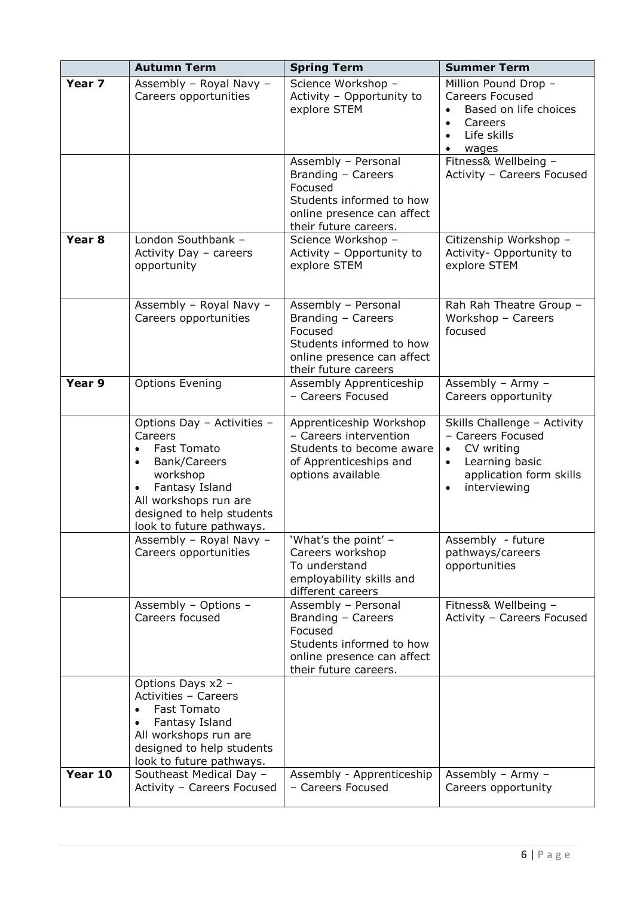|                   | <b>Autumn Term</b>                                                                                                                                                                                       | <b>Spring Term</b>                                                                                                                      | <b>Summer Term</b>                                                                                                                                                 |
|-------------------|----------------------------------------------------------------------------------------------------------------------------------------------------------------------------------------------------------|-----------------------------------------------------------------------------------------------------------------------------------------|--------------------------------------------------------------------------------------------------------------------------------------------------------------------|
| Year 7            | Assembly - Royal Navy -<br>Careers opportunities                                                                                                                                                         | Science Workshop -<br>Activity - Opportunity to<br>explore STEM                                                                         | Million Pound Drop -<br><b>Careers Focused</b><br>Based on life choices<br>Careers<br>$\bullet$<br>Life skills<br>wages<br>$\bullet$                               |
|                   |                                                                                                                                                                                                          | Assembly - Personal<br>Branding - Careers<br>Focused<br>Students informed to how<br>online presence can affect<br>their future careers. | Fitness& Wellbeing -<br>Activity - Careers Focused                                                                                                                 |
| Year <sub>8</sub> | London Southbank -<br>Activity Day - careers<br>opportunity                                                                                                                                              | Science Workshop -<br>Activity - Opportunity to<br>explore STEM                                                                         | Citizenship Workshop -<br>Activity- Opportunity to<br>explore STEM                                                                                                 |
|                   | Assembly - Royal Navy -<br>Careers opportunities                                                                                                                                                         | Assembly - Personal<br>Branding - Careers<br>Focused<br>Students informed to how<br>online presence can affect<br>their future careers  | Rah Rah Theatre Group -<br>Workshop - Careers<br>focused                                                                                                           |
| Year 9            | <b>Options Evening</b>                                                                                                                                                                                   | Assembly Apprenticeship<br>- Careers Focused                                                                                            | Assembly - Army -<br>Careers opportunity                                                                                                                           |
|                   | Options Day - Activities -<br>Careers<br><b>Fast Tomato</b><br>Bank/Careers<br>$\bullet$<br>workshop<br>Fantasy Island<br>All workshops run are<br>designed to help students<br>look to future pathways. | Apprenticeship Workshop<br>- Careers intervention<br>Students to become aware<br>of Apprenticeships and<br>options available            | Skills Challenge - Activity<br>- Careers Focused<br>CV writing<br>$\bullet$<br>Learning basic<br>$\bullet$<br>application form skills<br>interviewing<br>$\bullet$ |
|                   | Assembly - Royal Navy -<br>Careers opportunities                                                                                                                                                         | 'What's the point' –<br>Careers workshop<br>To understand<br>employability skills and<br>different careers                              | Assembly - future<br>pathways/careers<br>opportunities                                                                                                             |
|                   | Assembly - Options -<br>Careers focused                                                                                                                                                                  | Assembly - Personal<br>Branding - Careers<br>Focused<br>Students informed to how<br>online presence can affect<br>their future careers. | Fitness& Wellbeing -<br>Activity - Careers Focused                                                                                                                 |
|                   | Options Days x2 -<br>Activities - Careers<br><b>Fast Tomato</b><br>Fantasy Island<br>All workshops run are<br>designed to help students<br>look to future pathways.                                      |                                                                                                                                         |                                                                                                                                                                    |
| Year 10           | Southeast Medical Day -<br>Activity - Careers Focused                                                                                                                                                    | Assembly - Apprenticeship<br>- Careers Focused                                                                                          | Assembly - Army -<br>Careers opportunity                                                                                                                           |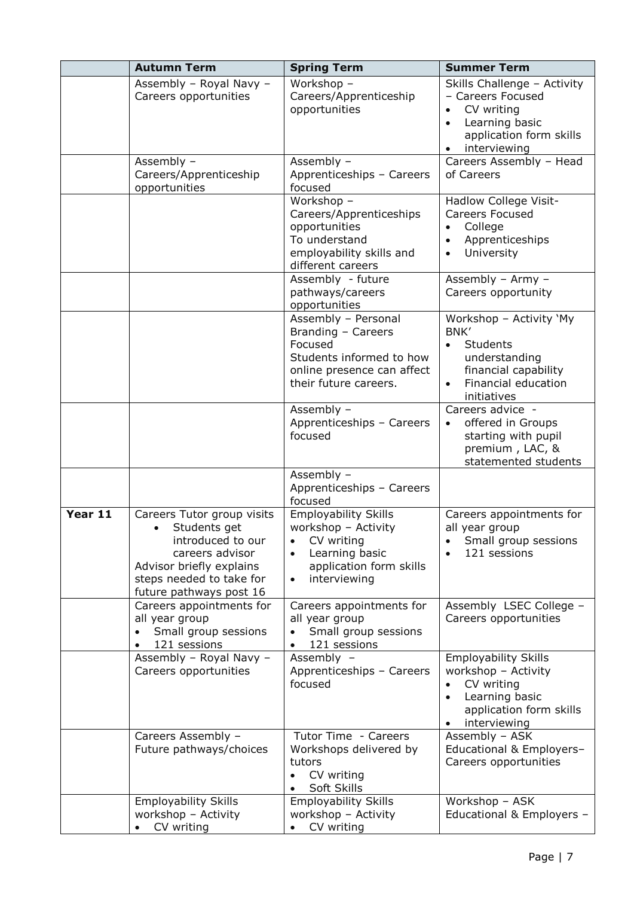|         | <b>Autumn Term</b>                                                                                                                                                                 | <b>Spring Term</b>                                                                                                                                                   | <b>Summer Term</b>                                                                                                                                   |
|---------|------------------------------------------------------------------------------------------------------------------------------------------------------------------------------------|----------------------------------------------------------------------------------------------------------------------------------------------------------------------|------------------------------------------------------------------------------------------------------------------------------------------------------|
|         | Assembly - Royal Navy -<br>Careers opportunities                                                                                                                                   | Workshop -<br>Careers/Apprenticeship<br>opportunities                                                                                                                | Skills Challenge - Activity<br>- Careers Focused<br>CV writing<br>Learning basic<br>application form skills<br>interviewing                          |
|         | Assembly -<br>Careers/Apprenticeship<br>opportunities                                                                                                                              | Assembly -<br>Apprenticeships - Careers<br>focused                                                                                                                   | Careers Assembly - Head<br>of Careers                                                                                                                |
|         |                                                                                                                                                                                    | Workshop -<br>Careers/Apprenticeships<br>opportunities<br>To understand<br>employability skills and<br>different careers                                             | Hadlow College Visit-<br><b>Careers Focused</b><br>College<br>$\bullet$<br>Apprenticeships<br>$\bullet$<br>University<br>$\bullet$                   |
|         |                                                                                                                                                                                    | Assembly - future<br>pathways/careers<br>opportunities                                                                                                               | Assembly - Army -<br>Careers opportunity                                                                                                             |
|         |                                                                                                                                                                                    | Assembly - Personal<br>Branding - Careers<br>Focused<br>Students informed to how<br>online presence can affect<br>their future careers.                              | Workshop - Activity `My<br>BNK'<br>Students<br>$\bullet$<br>understanding<br>financial capability<br>Financial education<br>$\bullet$<br>initiatives |
|         |                                                                                                                                                                                    | Assembly -<br>Apprenticeships - Careers<br>focused                                                                                                                   | Careers advice -<br>offered in Groups<br>starting with pupil<br>premium, LAC, &<br>statemented students                                              |
|         |                                                                                                                                                                                    | Assembly -<br>Apprenticeships - Careers<br>focused                                                                                                                   |                                                                                                                                                      |
| Year 11 | Careers Tutor group visits<br>Students get<br>$\bullet$<br>introduced to our<br>careers advisor<br>Advisor briefly explains<br>steps needed to take for<br>future pathways post 16 | <b>Employability Skills</b><br>workshop - Activity<br>CV writing<br>$\bullet$<br>Learning basic<br>$\bullet$<br>application form skills<br>interviewing<br>$\bullet$ | Careers appointments for<br>all year group<br>Small group sessions<br>121 sessions                                                                   |
|         | Careers appointments for<br>all year group<br>Small group sessions<br>121 sessions                                                                                                 | Careers appointments for<br>all year group<br>Small group sessions<br>121 sessions<br>$\bullet$                                                                      | Assembly LSEC College -<br>Careers opportunities                                                                                                     |
|         | Assembly - Royal Navy -<br>Careers opportunities                                                                                                                                   | Assembly -<br>Apprenticeships - Careers<br>focused                                                                                                                   | Employability Skills<br>workshop - Activity<br>CV writing<br>Learning basic<br>$\bullet$<br>application form skills<br>interviewing<br>$\bullet$     |
|         | Careers Assembly -<br>Future pathways/choices                                                                                                                                      | Tutor Time - Careers<br>Workshops delivered by<br>tutors<br>CV writing<br>$\bullet$<br>Soft Skills                                                                   | Assembly - ASK<br>Educational & Employers-<br>Careers opportunities                                                                                  |
|         | <b>Employability Skills</b><br>workshop - Activity<br>CV writing<br>$\bullet$                                                                                                      | <b>Employability Skills</b><br>workshop - Activity<br>CV writing<br>$\bullet$                                                                                        | Workshop - ASK<br>Educational & Employers -                                                                                                          |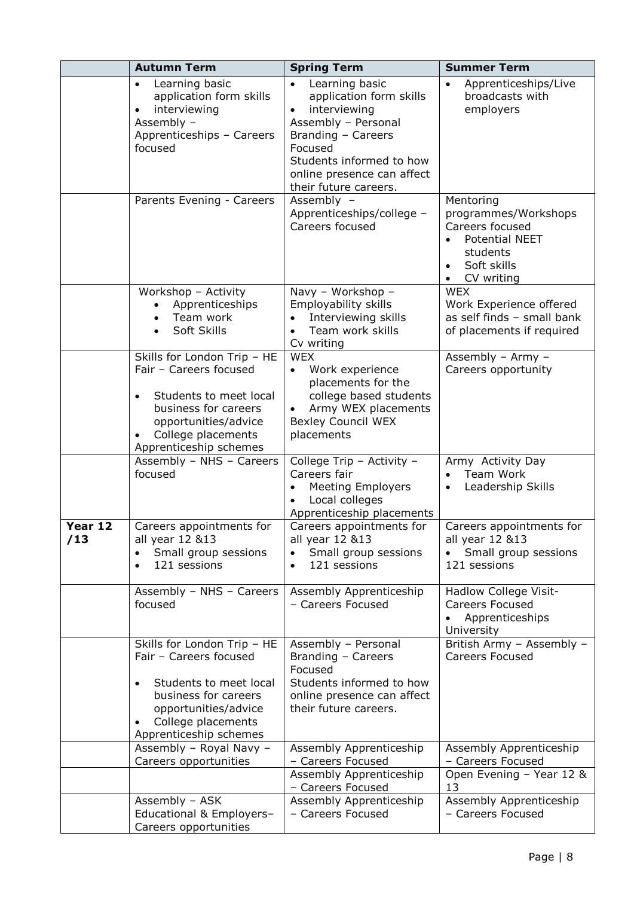|                | <b>Autumn Term</b>                                                                                                                                                              | <b>Spring Term</b>                                                                                                                                                                                   | <b>Summer Term</b>                                                                                                                               |
|----------------|---------------------------------------------------------------------------------------------------------------------------------------------------------------------------------|------------------------------------------------------------------------------------------------------------------------------------------------------------------------------------------------------|--------------------------------------------------------------------------------------------------------------------------------------------------|
|                | Learning basic<br>$\bullet$<br>application form skills<br>interviewing<br>Assembly -<br>Apprenticeships - Careers<br>focused                                                    | Learning basic<br>application form skills<br>interviewing<br>Assembly - Personal<br>Branding - Careers<br>Focused<br>Students informed to how<br>online presence can affect<br>their future careers. | Apprenticeships/Live<br>$\bullet$<br>broadcasts with<br>employers                                                                                |
|                | Parents Evening - Careers                                                                                                                                                       | Assembly -<br>Apprenticeships/college -<br>Careers focused                                                                                                                                           | Mentoring<br>programmes/Workshops<br>Careers focused<br><b>Potential NEET</b><br>students<br>Soft skills<br>$\bullet$<br>CV writing<br>$\bullet$ |
|                | Workshop - Activity<br>Apprenticeships<br>Team work<br>Soft Skills                                                                                                              | Navy - Workshop -<br>Employability skills<br>Interviewing skills<br>Team work skills<br>$\bullet$<br>Cv writing                                                                                      | <b>WEX</b><br>Work Experience offered<br>as self finds - small bank<br>of placements if required                                                 |
|                | Skills for London Trip - HE<br>Fair - Careers focused<br>Students to meet local<br>business for careers<br>opportunities/advice<br>College placements<br>Apprenticeship schemes | <b>WEX</b><br>Work experience<br>$\bullet$<br>placements for the<br>college based students<br>Army WEX placements<br><b>Bexley Council WEX</b><br>placements                                         | Assembly - Army -<br>Careers opportunity                                                                                                         |
|                | Assembly - NHS - Careers<br>focused                                                                                                                                             | College Trip - Activity -<br>Careers fair<br><b>Meeting Employers</b><br>Local colleges<br>Apprenticeship placements                                                                                 | Army Activity Day<br>Team Work<br>Leadership Skills                                                                                              |
| Year 12<br>/13 | Careers appointments for<br>all year 12 &13<br>Small group sessions<br>121 sessions                                                                                             | Careers appointments for<br>all year 12 &13<br>Small group sessions<br>121 sessions<br>$\bullet$                                                                                                     | Careers appointments for<br>all year 12 &13<br>Small group sessions<br>121 sessions                                                              |
|                | Assembly - NHS - Careers<br>focused                                                                                                                                             | Assembly Apprenticeship<br>- Careers Focused                                                                                                                                                         | Hadlow College Visit-<br><b>Careers Focused</b><br>Apprenticeships<br>University                                                                 |
|                | Skills for London Trip - HE<br>Fair - Careers focused<br>Students to meet local<br>business for careers<br>opportunities/advice<br>College placements<br>Apprenticeship schemes | Assembly - Personal<br>Branding - Careers<br>Focused<br>Students informed to how<br>online presence can affect<br>their future careers.                                                              | British Army - Assembly -<br><b>Careers Focused</b>                                                                                              |
|                | Assembly - Royal Navy -<br>Careers opportunities                                                                                                                                | Assembly Apprenticeship<br>- Careers Focused<br>Assembly Apprenticeship                                                                                                                              | Assembly Apprenticeship<br>- Careers Focused<br>Open Evening - Year 12 &                                                                         |
|                | Assembly - ASK<br>Educational & Employers-<br>Careers opportunities                                                                                                             | - Careers Focused<br>Assembly Apprenticeship<br>- Careers Focused                                                                                                                                    | 13<br>Assembly Apprenticeship<br>- Careers Focused                                                                                               |